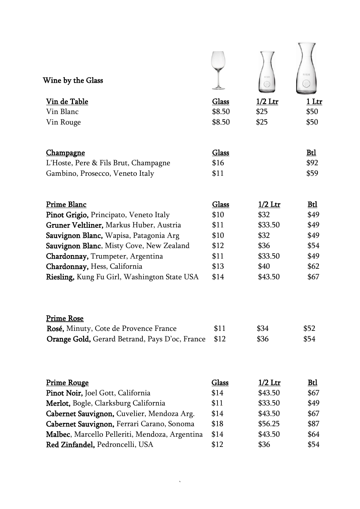| Wine by the Glass                              |        | 川田             | 川王氏        |
|------------------------------------------------|--------|----------------|------------|
| Vin de Table                                   | Glass  | $1/2$ Ltr      | 1 Ltr      |
| Vin Blanc                                      | \$8.50 | \$25           | \$50       |
| Vin Rouge                                      | \$8.50 | \$25           | \$50       |
| <u>Champagne</u>                               | Glass  |                | Btl        |
| L'Hoste, Pere & Fils Brut, Champagne           | \$16   |                | \$92       |
| Gambino, Prosecco, Veneto Italy                | \$11   |                | \$59       |
| <b>Prime Blanc</b>                             | Glass  | $1/2$ Ltr      | Btl        |
| Pinot Grigio, Principato, Veneto Italy         | \$10   | \$32           | \$49       |
| Gruner Veltliner, Markus Huber, Austria        | \$11   | \$33.50        | \$49       |
| Sauvignon Blanc, Wapisa, Patagonia Arg         | \$10   | \$32           | \$49       |
| Sauvignon Blanc, Misty Cove, New Zealand       | \$12   | \$36           | \$54       |
| Chardonnay, Trumpeter, Argentina               | \$11   | \$33.50        | \$49       |
| Chardonnay, Hess, California                   | \$13   | \$40           | \$62       |
| Riesling, Kung Fu Girl, Washington State USA   | \$14   | \$43.50        | \$67       |
| <b>Prime Rose</b>                              |        |                |            |
| Rosé, Minuty, Cote de Provence France          | \$11   | \$34           | \$52       |
| Orange Gold, Gerard Betrand, Pays D'oc, France | \$12   | \$36           | \$54       |
| <b>Prime Rouge</b>                             | Glass  | <u>1/2 Ltr</u> | <u>Btl</u> |
| Pinot Noir, Joel Gott, California              | \$14   | \$43.50        | \$67       |
| Merlot, Bogle, Clarksburg California           | \$11   | \$33.50        | \$49       |
| Cabernet Sauvignon, Cuvelier, Mendoza Arg.     | \$14   | \$43.50        | \$67       |
| Cabernet Sauvignon, Ferrari Carano, Sonoma     | \$18   | \$56.25        | \$87       |
| Malbec, Marcello Pelleriti, Mendoza, Argentina | \$14   | \$43.50        | \$64       |
| Red Zinfandel, Pedroncelli, USA                | \$12   | \$36           | \$54       |

 $\Delta \sim 10^4$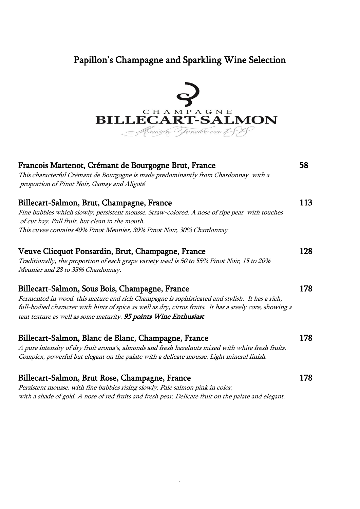## Papillon's Champagne and Sparkling Wine Selection



| Francois Martenot, Crémant de Bourgogne Brut, France<br>This characterful Crémant de Bourgogne is made predominantly from Chardonnay with a<br>proportion of Pinot Noir, Gamay and Aligoté                                                                                                                                       | 58  |
|----------------------------------------------------------------------------------------------------------------------------------------------------------------------------------------------------------------------------------------------------------------------------------------------------------------------------------|-----|
| Billecart-Salmon, Brut, Champagne, France<br>Fine bubbles which slowly, persistent mousse. Straw-colored. A nose of ripe pear with touches<br>of cut hay. Full fruit, but clean in the mouth.<br>This cuvee contains 40% Pinot Meunier, 30% Pinot Noir, 30% Chardonnay                                                           | 113 |
| Veuve Clicquot Ponsardin, Brut, Champagne, France<br>Traditionally, the proportion of each grape variety used is 50 to 55% Pinot Noir, 15 to 20%<br>Meunier and 28 to 33% Chardonnay.                                                                                                                                            | 128 |
| Billecart-Salmon, Sous Bois, Champagne, France<br>Fermented in wood, this mature and rich Champagne is sophisticated and stylish. It has a rich,<br>full-bodied character with hints of spice as well as dry, citrus fruits. It has a steely core, showing a<br>taut texture as well as some maturity. 95 points Wine Enthusiast | 178 |
| Billecart-Salmon, Blanc de Blanc, Champagne, France<br>A pure intensity of dry fruit aroma's, almonds and fresh hazelnuts mixed with white fresh fruits.<br>Complex, powerful but elegant on the palate with a delicate mousse. Light mineral finish.                                                                            | 178 |
| Billecart-Salmon, Brut Rose, Champagne, France<br>Persistent mousse, with fine bubbles rising slowly. Pale salmon pink in color,<br>with a shade of gold. A nose of red fruits and fresh pear. Delicate fruit on the palate and elegant.                                                                                         | 178 |

`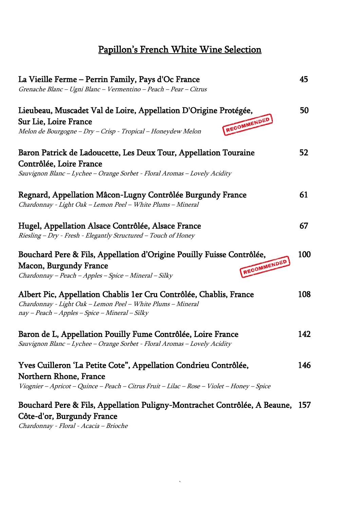# Papillon's French White Wine Selection

| La Vieille Ferme – Perrin Family, Pays d'Oc France<br>Grenache Blanc - Ugni Blanc - Vermentino - Peach - Pear - Citrus                                                                   |     |
|------------------------------------------------------------------------------------------------------------------------------------------------------------------------------------------|-----|
| Lieubeau, Muscadet Val de Loire, Appellation D'Origine Protégée,<br>RECOMMENDED<br>Sur Lie, Loire France<br>Melon de Bourgogne - Dry - Crisp - Tropical - Honeydew Melon                 | 50  |
| Baron Patrick de Ladoucette, Les Deux Tour, Appellation Touraine<br>Contrôlée, Loire France<br>Sauvignon Blanc - Lychee - Orange Sorbet - Floral Aromas - Lovely Acidity                 | 52  |
| Regnard, Appellation Mâcon-Lugny Contrôlée Burgundy France<br>Chardonnay - Light Oak - Lemon Peel - White Plums - Mineral                                                                | 61  |
| Hugel, Appellation Alsace Contrôlée, Alsace France<br>Riesling - Dry - Fresh - Elegantly Structured - Touch of Honey                                                                     | 67  |
| Bouchard Pere & Fils, Appellation d'Origine Pouilly Fuisse Contrôlée,<br>RECOMMENDED<br><b>Macon, Burgundy France</b><br>Chardonnay - Peach - Apples - Spice - Mineral - Silky           | 100 |
| Albert Pic, Appellation Chablis 1er Cru Contrôlée, Chablis, France<br>Chardonnay - Light Oak - Lemon Peel - White Plums - Mineral<br>nay - Peach - Apples - Spice - Mineral - Silky      | 108 |
| Baron de L, Appellation Pouilly Fume Contrôlée, Loire France<br>Sauvignon Blanc - Lychee - Orange Sorbet - Floral Aromas - Lovely Acidity                                                | 142 |
| Yves Cuilleron 'La Petite Cote", Appellation Condrieu Contrôlée,<br>Northern Rhone, France<br>Viognier - Apricot - Quince - Peach - Citrus Fruit - Lilac - Rose - Violet - Honey - Spice | 146 |
| Bouchard Pere & Fils, Appellation Puligny-Montrachet Contrôlée, A Beaune, 157<br>Côte-d'or, Burgundy France<br>Chardonnay - Floral - Acacia - Brioche                                    |     |

 $\sqrt{2}$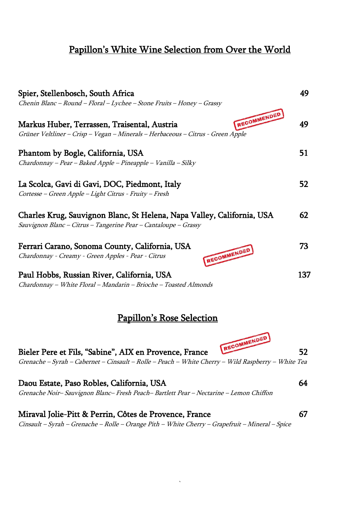### Papillon's White Wine Selection from Over the World

| Spier, Stellenbosch, South Africa<br>Chenin Blanc - Round - Floral - Lychee - Stone Fruits - Honey - Grassy                                    | 49  |
|------------------------------------------------------------------------------------------------------------------------------------------------|-----|
| RECOMMENDED<br>Markus Huber, Terrassen, Traisental, Austria<br>Grüner Veltliner – Crisp – Vegan – Minerals – Herbaceous – Citrus - Green Apple | 49  |
| Phantom by Bogle, California, USA<br>Chardonnay - Pear - Baked Apple - Pineapple - Vanilla - Silky                                             | 51  |
| La Scolca, Gavi di Gavi, DOC, Piedmont, Italy<br>Cortesse - Green Apple - Light Citrus - Fruity - Fresh                                        | 52  |
| Charles Krug, Sauvignon Blanc, St Helena, Napa Valley, California, USA<br>Sauvignon Blanc - Citrus - Tangerine Pear - Cantaloupe - Grassy      | 62  |
| Ferrari Carano, Sonoma County, California, USA<br>RECOMMENDED<br>Chardonnay - Creamy - Green Apples - Pear - Citrus                            | 73  |
| Paul Hobbs, Russian River, California, USA<br>Chardonnay - White Floral - Mandarin - Brioche - Toasted Almonds                                 | 137 |
| <u>Papillon's Rose Selection</u>                                                                                                               |     |

Bieler Pere et Fils, "Sabine", AIX en Provence, France RECOMMENDED 52 Grenache – Syrah – Cabernet – Cinsault – Rolle – Peach – White Cherry – Wild Raspberry – White Tea

Daou Estate, Paso Robles, California, USA 64 Grenache Noir– Sauvignon Blanc– Fresh Peach– Bartlett Pear – Nectarine – Lemon Chiffon

Miraval Jolie-Pitt & Perrin, Côtes de Provence, France 67 Cinsault – Syrah – Grenache – Rolle – Orange Pith – White Cherry – Grapefruit – Mineral – Spice

`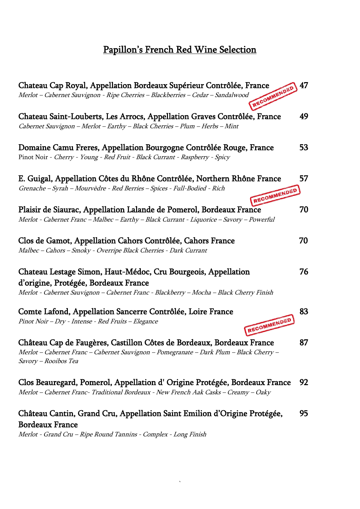# Papillon's French Red Wine Selection

| Chateau Cap Royal, Appellation Bordeaux Supérieur Contrôlée, France                                                                                                                              | 47 |
|--------------------------------------------------------------------------------------------------------------------------------------------------------------------------------------------------|----|
| RECOMMENDED<br>Merlot - Cabernet Sauvignon - Ripe Cherries - Blackberries - Cedar - Sandalwood                                                                                                   |    |
| Chateau Saint-Louberts, Les Arrocs, Appellation Graves Contrôlée, France<br>Cabernet Sauvignon - Merlot - Earthy - Black Cherries - Plum - Herbs - Mint                                          | 49 |
| Domaine Camu Freres, Appellation Bourgogne Contrôlée Rouge, France<br>Pinot Noir - Cherry - Young - Red Fruit - Black Currant - Raspberry - Spicy                                                | 53 |
| E. Guigal, Appellation Côtes du Rhône Contrôlée, Northern Rhône France<br>Grenache - Syrah - Mourvèdre - Red Berries - Spices - Full-Bodied - Rich<br>RECOMMENDED                                | 57 |
| Plaisir de Siaurac, Appellation Lalande de Pomerol, Bordeaux France<br>Merlot - Cabernet Franc - Malbec - Earthy - Black Currant - Liquorice - Savory - Powerful                                 | 70 |
| Clos de Gamot, Appellation Cahors Contrôlée, Cahors France<br>Malbec - Cahors - Smoky - Overripe Black Cherries - Dark Currant                                                                   | 70 |
| Chateau Lestage Simon, Haut-Médoc, Cru Bourgeois, Appellation<br>d'origine, Protégée, Bordeaux France<br>Merlot - Cabernet Sauvignon - Cabernet Franc - Blackberry - Mocha - Black Cherry Finish | 76 |
| Comte Lafond, Appellation Sancerre Contrôlée, Loire France<br>RECOMMENDED<br>Pinot Noir - Dry - Intense - Red Fruits - Elegance                                                                  | 83 |
| Château Cap de Faugères, Castillon Côtes de Bordeaux, Bordeaux France<br>Merlot - Cabernet Franc - Cabernet Sauvignon - Pomegranate - Dark Plum - Black Cherry -<br>Savory - Rooibos Tea         | 87 |
| Clos Beauregard, Pomerol, Appellation d'Origine Protégée, Bordeaux France<br>Merlot - Cabernet Franc- Traditional Bordeaux - New French Aak Casks - Creamy - Oaky                                | 92 |
| Château Cantin, Grand Cru, Appellation Saint Emilion d'Origine Protégée,<br><b>Bordeaux France</b><br>Merlot - Grand Cru - Ripe Round Tannins - Complex - Long Finish                            | 95 |

 $\sqrt{2}$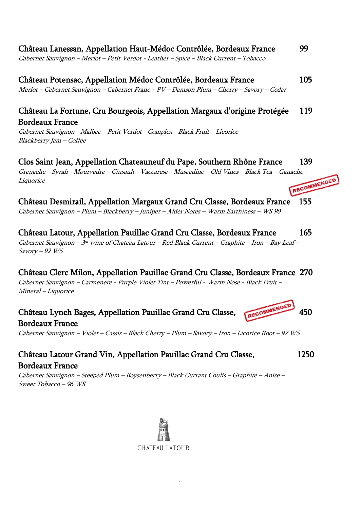Cabernet Sauvignon – Merlot – Petit Verdot - Leather – Spice – Black Current – Tobacco

## Château Potensac, Appellation Médoc Contrôlée, Bordeaux France 105

Merlot – Cabernet Sauvignon – Cabernet Franc – PV – Damson Plum – Cherry – Savory – Cedar

#### Château La Fortune, Cru Bourgeois, Appellation Margaux d'origine Protégée 119 Bordeaux France

Cabernet Sauvignon - Malbec – Petit Verdot - Complex - Black Fruit – Licorice – Blackberry Jam – Coffee

#### Clos Saint Jean, Appellation Chateauneuf du Pape, Southern Rhône France 139

Grenache – Syrah - Mourvèdre – Cinsault - Vaccarese - Muscadine – Old Vines – Black Tea – Ganache -<br>Liquorice **Liquorice** 

Château Desmirail, Appellation Margaux Grand Cru Classe, Bordeaux France 155 Cabernet Sauvignon – Plum – Blackberry – Juniper – Alder Notes – Warm Earthiness – WS 90

Château Latour, Appellation Pauillac Grand Cru Classe, Bordeaux France 165 Cabernet Sauvignon – 3<sup>rd</sup> wine of Chateau Latour – Red Black Current – Graphite – Iron – Bay Leaf – Savory – 92 WS

### Château Clerc Milon, Appellation Pauillac Grand Cru Classe, Bordeaux France 270

Cabernet Sauvignon – Carmenere - Purple Violet Tint – Powerful - Warm Nose - Black Fruit – Mineral – Liquorice

# Château Lynch Bages, Appellation Pauillac Grand Cru Classe, RECOMMENDED 450 Bordeaux France

Cabernet Sauvignon – Violet – Cassis – Black Cherry – Plum – Savory – Iron – Licorice Root – 97 WS

#### Château Latour Grand Vin, Appellation Pauillac Grand Cru Classe, 1250 Bordeaux France

Cabernet Sauvignon – Steeped Plum – Boysenberry – Black Currant Coulis – Graphite – Anise – Sweet Tobacco – 96 WS



`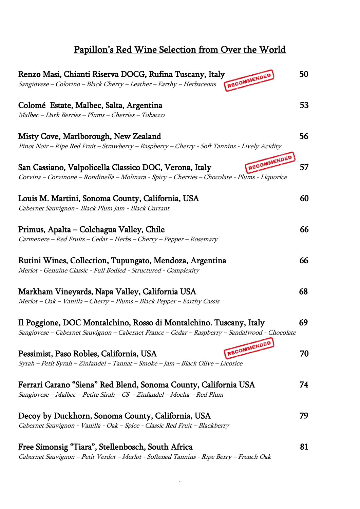# Papillon's Red Wine Selection from Over the World

| Renzo Masi, Chianti Riserva DOCG, Rufina Tuscany, Italy<br>RECOMMENDED<br>Sangiovese - Colorino - Black Cherry - Leather - Earthy - Herbaceous                       | 50 |
|----------------------------------------------------------------------------------------------------------------------------------------------------------------------|----|
| Colomé Estate, Malbec, Salta, Argentina<br>Malbec - Dark Berries - Plums - Cherries - Tobacco                                                                        | 53 |
| Misty Cove, Marlborough, New Zealand                                                                                                                                 | 56 |
| Pinot Noir - Ripe Red Fruit - Strawberry - Raspberry - Cherry - Soft Tannins - Lively Acidity<br>RECOMMENDED                                                         |    |
| San Cassiano, Valpolicella Classico DOC, Verona, Italy<br>Corvina - Corvinone - Rondinella - Molinara - Spicy - Cherries - Chocolate - Plums - Liquorice             | 57 |
| Louis M. Martini, Sonoma County, California, USA<br>Cabernet Sauvignon - Black Plum Jam - Black Currant                                                              | 60 |
| Primus, Apalta – Colchagua Valley, Chile<br>Carmenere - Red Fruits - Cedar - Herbs - Cherry - Pepper - Rosemary                                                      | 66 |
| Rutini Wines, Collection, Tupungato, Mendoza, Argentina<br>Merlot - Genuine Classic - Full Bodied - Structured - Complexity                                          | 66 |
| Markham Vineyards, Napa Valley, California USA<br>Merlot - Oak - Vanilla - Cherry - Plums - Black Pepper - Earthy Cassis                                             | 68 |
| Il Poggione, DOC Montalchino, Rosso di Montalchino. Tuscany, Italy<br>Sangiovese - Cabernet Sauvignon - Cabernet France - Cedar - Raspberry - Sandalwood - Chocolate | 69 |
| RECOMMENDED<br>Pessimist, Paso Robles, California, USA<br>Syrah - Petit Syrah - Zinfandel - Tannat - Smoke - Jam - Black Olive - Licorice                            | 70 |
| Ferrari Carano "Siena" Red Blend, Sonoma County, California USA<br>Sangiovese - Malbec - Petite Sirah - CS - Zinfandel - Mocha - Red Plum                            | 74 |
| Decoy by Duckhorn, Sonoma County, California, USA<br>Cabernet Sauvignon - Vanilla - Oak - Spice - Classic Red Fruit - Blackberry                                     | 79 |
| Free Simonsig "Tiara", Stellenbosch, South Africa<br>Cabernet Sauvignon - Petit Verdot - Merlot - Softened Tannins - Ripe Berry - French Oak                         | 81 |

 $\sqrt{\frac{1}{2}}$